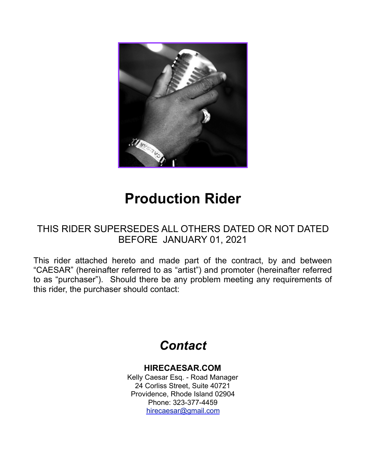

# **Production Rider**

### THIS RIDER SUPERSEDES ALL OTHERS DATED OR NOT DATED BEFORE JANUARY 01, 2021

This rider attached hereto and made part of the contract, by and between "CAESAR" (hereinafter referred to as "artist") and promoter (hereinafter referred to as "purchaser"). Should there be any problem meeting any requirements of this rider, the purchaser should contact:

# *Contact*

#### **HIRECAESAR.COM**

Kelly Caesar Esq. - Road Manager 24 Corliss Street, Suite 40721 Providence, Rhode Island 02904 Phone: 323-377-4459 [hirecaesar@gmail.c](mailto:hirecaesar@gmail.com)om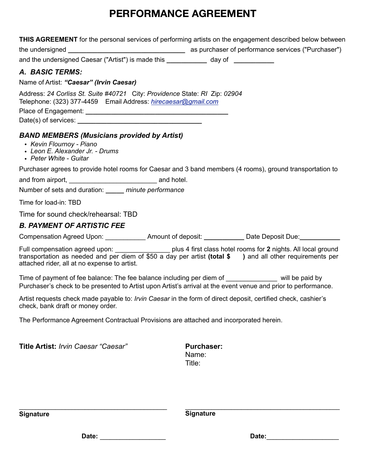| <b>THIS AGREEMENT</b> for the personal services of performing artists on the engagement described below between                                                                                                                                                              |                   |
|------------------------------------------------------------------------------------------------------------------------------------------------------------------------------------------------------------------------------------------------------------------------------|-------------------|
|                                                                                                                                                                                                                                                                              |                   |
| and the undersigned Caesar ("Artist") is made this ____________ day of __________                                                                                                                                                                                            |                   |
| A. BASIC TERMS:                                                                                                                                                                                                                                                              |                   |
| Name of Artist: "Caesar" (Irvin Caesar)                                                                                                                                                                                                                                      |                   |
| Address: 24 Corliss St. Suite #40721 City: Providence State: RI Zip: 02904<br>Telephone: (323) 377-4459   Email Address: hirecaesar@gmail.com                                                                                                                                |                   |
|                                                                                                                                                                                                                                                                              |                   |
| <b>BAND MEMBERS (Musicians provided by Artist)</b><br>• Kevin Flournoy - Piano<br>• Leon E. Alexander Jr. - Drums<br>• Peter White - Guitar                                                                                                                                  |                   |
| Purchaser agrees to provide hotel rooms for Caesar and 3 band members (4 rooms), ground transportation to                                                                                                                                                                    |                   |
|                                                                                                                                                                                                                                                                              |                   |
| Number of sets and duration: <i>_____ minute performance</i>                                                                                                                                                                                                                 |                   |
| Time for load-in: TBD                                                                                                                                                                                                                                                        |                   |
| Time for sound check/rehearsal: TBD                                                                                                                                                                                                                                          |                   |
| <b>B. PAYMENT OF ARTISTIC FEE</b>                                                                                                                                                                                                                                            |                   |
| Compensation Agreed Upon: _______________ Amount of deposit: _____________ Date Deposit Due: ___________                                                                                                                                                                     |                   |
| Full compensation agreed upon: ___________________plus 4 first class hotel rooms for 2 nights. All local ground<br>transportation as needed and per diem of \$50 a day per artist (total \$ ) and all other requirements per<br>attached rider, all at no expense to artist. |                   |
| Time of payment of fee balance: The fee balance including per diem of _______________ will be paid by<br>Purchaser's check to be presented to Artist upon Artist's arrival at the event venue and prior to performance.                                                      |                   |
| Artist requests check made payable to: <i>Irvin Caesar</i> in the form of direct deposit, certified check, cashier's<br>check, bank draft or money order.                                                                                                                    |                   |
| The Performance Agreement Contractual Provisions are attached and incorporated herein.                                                                                                                                                                                       |                   |
| Title Artist: Irvin Caesar "Caesar"                                                                                                                                                                                                                                          | <b>Purchaser:</b> |

Name: Title:

**Signature** 

**\_\_\_\_\_\_\_\_\_\_\_\_\_\_\_\_\_\_\_\_\_\_\_\_\_\_\_\_\_\_\_\_\_\_\_\_\_\_\_\_\_\_\_\_\_\_\_ Signature** 

**Date: \_\_\_\_\_\_\_\_\_\_\_\_\_\_\_\_\_\_\_\_**

**\_\_\_\_\_\_\_\_\_\_\_\_\_\_\_\_\_\_\_\_\_\_\_\_\_\_\_\_\_\_\_\_\_\_\_\_\_\_\_\_\_\_\_\_\_** 

**Date:\_\_\_\_\_\_\_\_\_\_\_\_\_\_\_\_\_\_\_\_\_\_**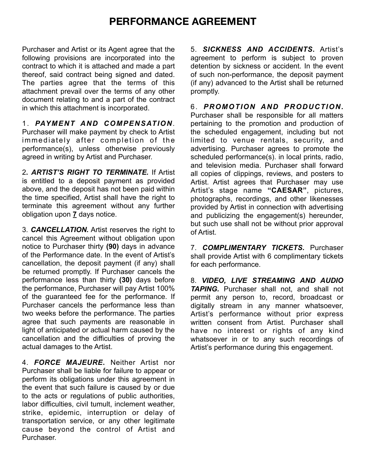Purchaser and Artist or its Agent agree that the following provisions are incorporated into the contract to which it is attached and made a part thereof, said contract being signed and dated. The parties agree that the terms of this attachment prevail over the terms of any other document relating to and a part of the contract in which this attachment is incorporated.

1. *PAYMENT AND COMPENSATION.* 

Purchaser will make payment by check to Artist immediately after completion of the performance(s), unless otherwise previously agreed in writing by Artist and Purchaser.

2**.** *ARTIST'S RIGHT TO TERMINATE.* If Artist is entitled to a deposit payment as provided above, and the deposit has not been paid within the time specified, Artist shall have the right to terminate this agreement without any further obligation upon **7** days notice.

3. *CANCELLATION.* Artist reserves the right to cancel this Agreement without obligation upon notice to Purchaser thirty **(90)** days in advance of the Performance date. In the event of Artist's cancellation, the deposit payment (if any) shall be returned promptly. If Purchaser cancels the performance less than thirty **(30)** days before the performance, Purchaser will pay Artist 100% of the guaranteed fee for the performance. If Purchaser cancels the performance less than two weeks before the performance. The parties agree that such payments are reasonable in light of anticipated or actual harm caused by the cancellation and the difficulties of proving the actual damages to the Artist.

4. *FORCE MAJEURE***.** Neither Artist nor Purchaser shall be liable for failure to appear or perform its obligations under this agreement in the event that such failure is caused by or due to the acts or regulations of public authorities, labor difficulties, civil tumult, inclement weather, strike, epidemic, interruption or delay of transportation service, or any other legitimate cause beyond the control of Artist and Purchaser.

5. *SICKNESS AND ACCIDENTS***.** Artist's agreement to perform is subject to proven detention by sickness or accident. In the event of such non-performance, the deposit payment (if any) advanced to the Artist shall be returned promptly.

6. *PROMOTION AND PRODUCTION.* Purchaser shall be responsible for all matters pertaining to the promotion and production of the scheduled engagement, including but not limited to venue rentals, security, and advertising. Purchaser agrees to promote the scheduled performance(s). in local prints, radio, and television media. Purchaser shall forward all copies of clippings, reviews, and posters to Artist. Artist agrees that Purchaser may use Artist's stage name **"CAESAR"**, pictures, photographs, recordings, and other likenesses provided by Artist in connection with advertising and publicizing the engagement(s) hereunder, but such use shall not be without prior approval of Artist.

7. *COMPLIMENTARY TICKETS.* Purchaser shall provide Artist with 6 complimentary tickets for each performance.

8. *VIDEO, LIVE STREAMING AND AUDIO TAPING.* Purchaser shall not, and shall not permit any person to, record, broadcast or digitally stream in any manner whatsoever, Artist's performance without prior express written consent from Artist. Purchaser shall have no interest or rights of any kind whatsoever in or to any such recordings of Artist's performance during this engagement.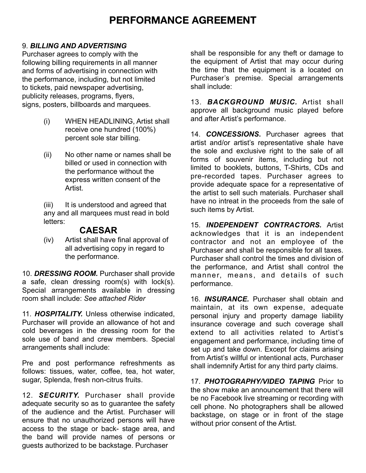#### 9. *BILLING AND ADVERTISING*

Purchaser agrees to comply with the following billing requirements in all manner and forms of advertising in connection with the performance, including, but not limited to tickets, paid newspaper advertising, publicity releases, programs, flyers, signs, posters, billboards and marquees.

- (i) WHEN HEADLINING, Artist shall receive one hundred (100%) percent sole star billing.
- (ii) No other name or names shall be billed or used in connection with the performance without the express written consent of the **Artist.**

(iii) It is understood and agreed that any and all marquees must read in bold letters:

#### **CAESAR**

(iv) Artist shall have final approval of all advertising copy in regard to the performance.

10. *DRESSING ROOM.* Purchaser shall provide a safe, clean dressing room(s) with lock(s). Special arrangements available in dressing room shall include: *See attached Rider*

11. *HOSPITALITY.* Unless otherwise indicated, Purchaser will provide an allowance of hot and cold beverages in the dressing room for the sole use of band and crew members. Special arrangements shall include:

Pre and post performance refreshments as follows: tissues, water, coffee, tea, hot water, sugar, Splenda, fresh non-citrus fruits.

12. *SECURITY.* Purchaser shall provide adequate security so as to guarantee the safety of the audience and the Artist. Purchaser will ensure that no unauthorized persons will have access to the stage or back- stage area, and the band will provide names of persons or guests authorized to be backstage. Purchaser

shall be responsible for any theft or damage to the equipment of Artist that may occur during the time that the equipment is a located on Purchaser's premise. Special arrangements shall include:

13. *BACKGROUND MUSIC.* Artist shall approve all background music played before and after Artist's performance.

14. **CONCESSIONS.** Purchaser agrees that artist and/or artist's representative shale have the sole and exclusive right to the sale of all forms of souvenir items, including but not limited to booklets, buttons, T-Shirts, CDs and pre-recorded tapes. Purchaser agrees to provide adequate space for a representative of the artist to sell such materials. Purchaser shall have no intreat in the proceeds from the sale of such items by Artist.

15. *INDEPENDENT CONTRACTORS.* Artist acknowledges that it is an independent contractor and not an employee of the Purchaser and shall be responsible for all taxes. Purchaser shall control the times and division of the performance, and Artist shall control the manner, means, and details of such performance.

16. *INSURANCE.* Purchaser shall obtain and maintain, at its own expense, adequate personal injury and property damage liability insurance coverage and such coverage shall extend to all activities related to Artist's engagement and performance, including time of set up and take down. Except for claims arising from Artist's willful or intentional acts, Purchaser shall indemnify Artist for any third party claims.

17. *PHOTOGRAPHY/VIDEO TAPING* Prior to the show make an announcement that there will be no Facebook live streaming or recording with cell phone. No photographers shall be allowed backstage, on stage or in front of the stage without prior consent of the Artist.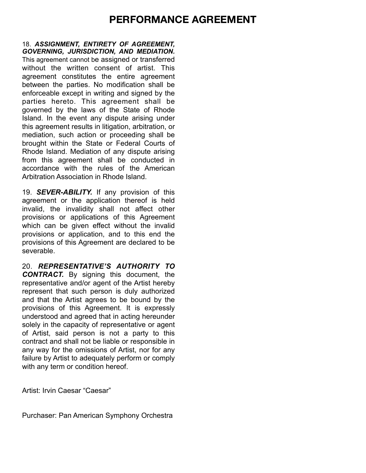18. *ASSIGNMENT, ENTIRETY OF AGREEMENT, GOVERNING, JURISDICTION, AND MEDIATION.* This agreement cannot be assigned or transferred without the written consent of artist. This agreement constitutes the entire agreement between the parties. No modification shall be enforceable except in writing and signed by the parties hereto. This agreement shall be governed by the laws of the State of Rhode Island. In the event any dispute arising under this agreement results in litigation, arbitration, or mediation, such action or proceeding shall be brought within the State or Federal Courts of Rhode Island. Mediation of any dispute arising from this agreement shall be conducted in accordance with the rules of the American Arbitration Association in Rhode Island.

19. *SEVER-ABILITY.* If any provision of this agreement or the application thereof is held invalid, the invalidity shall not affect other provisions or applications of this Agreement which can be given effect without the invalid provisions or application, and to this end the provisions of this Agreement are declared to be severable.

20. *REPRESENTATIVE'S AUTHORITY TO CONTRACT.* By signing this document, the representative and/or agent of the Artist hereby represent that such person is duly authorized and that the Artist agrees to be bound by the provisions of this Agreement. It is expressly understood and agreed that in acting hereunder solely in the capacity of representative or agent of Artist, said person is not a party to this contract and shall not be liable or responsible in any way for the omissions of Artist, nor for any failure by Artist to adequately perform or comply with any term or condition hereof.

Artist: Irvin Caesar "Caesar"

Purchaser: Pan American Symphony Orchestra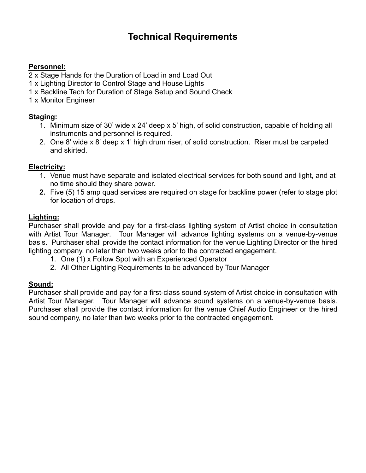## **Technical Requirements**

#### **Personnel:**

2 x Stage Hands for the Duration of Load in and Load Out

- 1 x Lighting Director to Control Stage and House Lights
- 1 x Backline Tech for Duration of Stage Setup and Sound Check
- 1 x Monitor Engineer

#### **Staging:**

- 1. Minimum size of 30' wide x 24' deep x 5' high, of solid construction, capable of holding all instruments and personnel is required.
- 2. One 8' wide x 8' deep x 1' high drum riser, of solid construction. Riser must be carpeted and skirted.

#### **Electricity:**

- 1. Venue must have separate and isolated electrical services for both sound and light, and at no time should they share power.
- **2.** Five (5) 15 amp quad services are required on stage for backline power (refer to stage plot for location of drops.

#### **Lighting:**

Purchaser shall provide and pay for a first-class lighting system of Artist choice in consultation with Artist Tour Manager. Tour Manager will advance lighting systems on a venue-by-venue basis. Purchaser shall provide the contact information for the venue Lighting Director or the hired lighting company, no later than two weeks prior to the contracted engagement.

- 1. One (1) x Follow Spot with an Experienced Operator
- 2. All Other Lighting Requirements to be advanced by Tour Manager

#### **Sound:**

Purchaser shall provide and pay for a first-class sound system of Artist choice in consultation with Artist Tour Manager. Tour Manager will advance sound systems on a venue-by-venue basis. Purchaser shall provide the contact information for the venue Chief Audio Engineer or the hired sound company, no later than two weeks prior to the contracted engagement.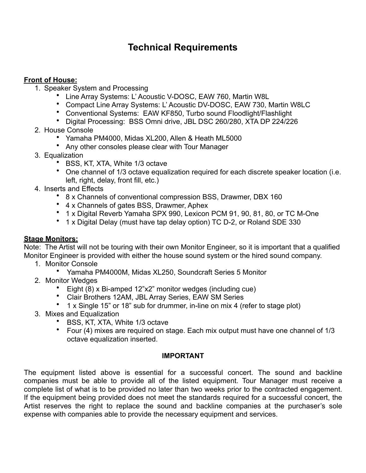### **Technical Requirements**

#### **Front of House:**

- 1. Speaker System and Processing
	- Line Array Systems: L' Acoustic V-DOSC, EAW 760, Martin W8L
	- Compact Line Array Systems: L' Acoustic DV-DOSC, EAW 730, Martin W8LC
	- Conventional Systems: EAW KF850, Turbo sound Floodlight/Flashlight
	- Digital Processing: BSS Omni drive, JBL DSC 260/280, XTA DP 224/226
- 2. House Console
	- Yamaha PM4000, Midas XL200, Allen & Heath ML5000
	- Any other consoles please clear with Tour Manager
- 3. Equalization
	- BSS, KT, XTA, White 1/3 octave
	- One channel of 1/3 octave equalization required for each discrete speaker location (i.e. left, right, delay, front fill, etc.)
- 4. Inserts and Effects
	- 8 x Channels of conventional compression BSS, Drawmer, DBX 160
	- 4 x Channels of gates BSS, Drawmer, Aphex
	- 1 x Digital Reverb Yamaha SPX 990, Lexicon PCM 91, 90, 81, 80, or TC M-One
	- 1 x Digital Delay (must have tap delay option) TC D-2, or Roland SDE 330

#### **Stage Monitors:**

Note: The Artist will not be touring with their own Monitor Engineer, so it is important that a qualified Monitor Engineer is provided with either the house sound system or the hired sound company.

- 1. Monitor Console
	- Yamaha PM4000M, Midas XL250, Soundcraft Series 5 Monitor
- 2. Monitor Wedges
	- Eight (8) x Bi-amped 12"x2" monitor wedges (including cue)
	- Clair Brothers 12AM, JBL Array Series, EAW SM Series
	- 1 x Single 15" or 18" sub for drummer, in-line on mix 4 (refer to stage plot)
- 3. Mixes and Equalization
	- BSS, KT, XTA, White 1/3 octave
	- Four (4) mixes are required on stage. Each mix output must have one channel of 1/3 octave equalization inserted.

#### **IMPORTANT**

The equipment listed above is essential for a successful concert. The sound and backline companies must be able to provide all of the listed equipment. Tour Manager must receive a complete list of what is to be provided no later than two weeks prior to the contracted engagement. If the equipment being provided does not meet the standards required for a successful concert, the Artist reserves the right to replace the sound and backline companies at the purchaser's sole expense with companies able to provide the necessary equipment and services.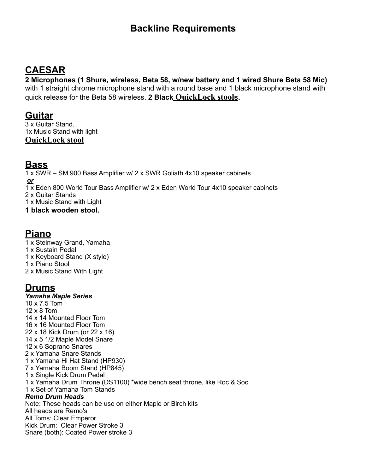### **Backline Requirements**

## **CAESAR**

**2 Microphones (1 Shure, wireless, Beta 58, w/new battery and 1 wired Shure Beta 58 Mic)** with 1 straight chrome microphone stand with a round base and 1 black microphone stand with quick release for the Beta 58 wireless. **2 Black [QuickLock stool](https://www.americanmusical.com/quik-lok-dx-749-musicians-stool-with-adjustable-backrest/p/QKL-DX749?src=Y0802G00SRCHCAPN&adpos=&scid=scplpQKL+DX749&sc_intid=QKL+DX749&gclid=Cj0KCQjw8IaGBhCHARIsAGIRRYpUA40k4wkHeprzzruZKOEN3V7ASLhpg-3X7za2gH2R_cZ0fFkVUvwaAri5EALw_wcB)s.** 

### **Guitar**

3 x Guitar Stand. 1x Music Stand with light **[QuickLock stool](https://www.americanmusical.com/quik-lok-dx-749-musicians-stool-with-adjustable-backrest/p/QKL-DX749?src=Y0802G00SRCHCAPN&adpos=&scid=scplpQKL+DX749&sc_intid=QKL+DX749&gclid=Cj0KCQjw8IaGBhCHARIsAGIRRYpUA40k4wkHeprzzruZKOEN3V7ASLhpg-3X7za2gH2R_cZ0fFkVUvwaAri5EALw_wcB)**

### **Bass**

1 x SWR – SM 900 Bass Amplifier w/ 2 x SWR Goliath 4x10 speaker cabinets *or* 1 x Eden 800 World Tour Bass Amplifier w/ 2 x Eden World Tour 4x10 speaker cabinets 2 x Guitar Stands 1 x Music Stand with Light **1 black wooden stool.** 

# **Piano**

1 x Steinway Grand, Yamaha 1 x Sustain Pedal 1 x Keyboard Stand (X style) 1 x Piano Stool 2 x Music Stand With Light

### **Drums**

*Yamaha Maple Series* 10 x 7.5 Tom 12 x 8 Tom 14 x 14 Mounted Floor Tom 16 x 16 Mounted Floor Tom 22 x 18 Kick Drum (or 22 x 16) 14 x 5 1/2 Maple Model Snare 12 x 6 Soprano Snares 2 x Yamaha Snare Stands 1 x Yamaha Hi Hat Stand (HP930) 7 x Yamaha Boom Stand (HP845) 1 x Single Kick Drum Pedal 1 x Yamaha Drum Throne (DS1100) \*wide bench seat throne, like Roc & Soc 1 x Set of Yamaha Tom Stands *Remo Drum Heads*  Note: These heads can be use on either Maple or Birch kits All heads are Remo's All Toms: Clear Emperor Kick Drum: Clear Power Stroke 3 Snare (both): Coated Power stroke 3